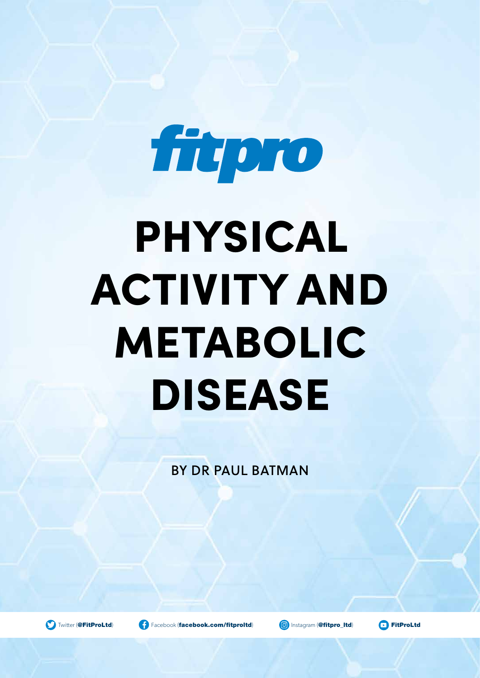

# PHYSICAL ACTIVITY AND METABOLIC DISEASE

BY DR PAUL BATMAN

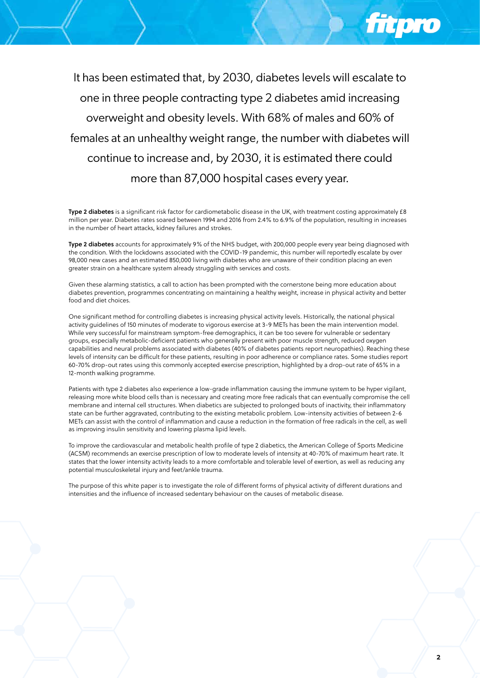It has been estimated that, by 2030, diabetes levels will escalate to one in three people contracting type 2 diabetes amid increasing overweight and obesity levels. With 68% of males and 60% of females at an unhealthy weight range, the number with diabetes will continue to increase and, by 2030, it is estimated there could more than 87,000 hospital cases every year.

Type 2 diabetes is a significant risk factor for cardiometabolic disease in the UK, with treatment costing approximately £8 million per year. Diabetes rates soared between 1994 and 2016 from 2.4% to 6.9% of the population, resulting in increases in the number of heart attacks, kidney failures and strokes.

Type 2 diabetes accounts for approximately 9% of the NHS budget, with 200,000 people every year being diagnosed with the condition. With the lockdowns associated with the COVID-19 pandemic, this number will reportedly escalate by over 98,000 new cases and an estimated 850,000 living with diabetes who are unaware of their condition placing an even greater strain on a healthcare system already struggling with services and costs.

Given these alarming statistics, a call to action has been prompted with the cornerstone being more education about diabetes prevention, programmes concentrating on maintaining a healthy weight, increase in physical activity and better food and diet choices.

One significant method for controlling diabetes is increasing physical activity levels. Historically, the national physical activity guidelines of 150 minutes of moderate to vigorous exercise at 3-9 METs has been the main intervention model. While very successful for mainstream symptom-free demographics, it can be too severe for vulnerable or sedentary groups, especially metabolic-deficient patients who generally present with poor muscle strength, reduced oxygen capabilities and neural problems associated with diabetes (40% of diabetes patients report neuropathies). Reaching these levels of intensity can be difficult for these patients, resulting in poor adherence or compliance rates. Some studies report 60-70% drop-out rates using this commonly accepted exercise prescription, highlighted by a drop-out rate of 65% in a 12-month walking programme.

Patients with type 2 diabetes also experience a low-grade inflammation causing the immune system to be hyper vigilant, releasing more white blood cells than is necessary and creating more free radicals that can eventually compromise the cell membrane and internal cell structures. When diabetics are subjected to prolonged bouts of inactivity, their inflammatory state can be further aggravated, contributing to the existing metabolic problem. Low-intensity activities of between 2-6 METs can assist with the control of inflammation and cause a reduction in the formation of free radicals in the cell, as well as improving insulin sensitivity and lowering plasma lipid levels.

To improve the cardiovascular and metabolic health profile of type 2 diabetics, the American College of Sports Medicine (ACSM) recommends an exercise prescription of low to moderate levels of intensity at 40-70% of maximum heart rate. It states that the lower intensity activity leads to a more comfortable and tolerable level of exertion, as well as reducing any potential musculoskeletal injury and feet/ankle trauma.

The purpose of this white paper is to investigate the role of different forms of physical activity of different durations and intensities and the influence of increased sedentary behaviour on the causes of metabolic disease.

fitoro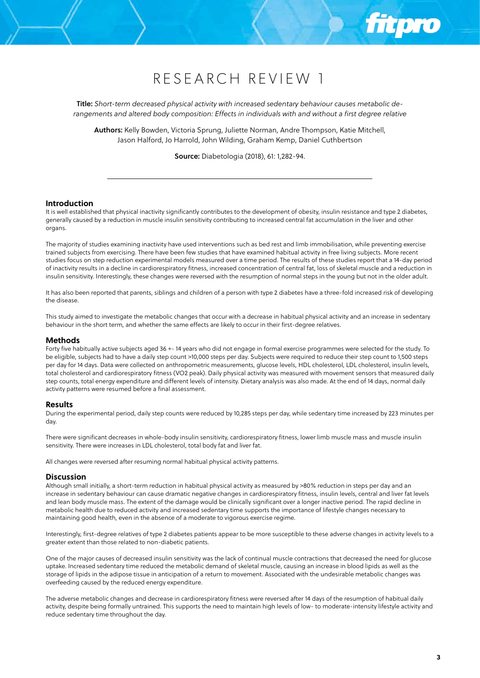Title: *Short-term decreased physical activity with increased sedentary behaviour causes metabolic derangements and altered body composition: Effects in individuals with and without a first degree relative*

Authors: Kelly Bowden, Victoria Sprung, Juliette Norman, Andre Thompson, Katie Mitchell, Jason Halford, Jo Harrold, John Wilding, Graham Kemp, Daniel Cuthbertson

Source: Diabetologia (2018), 61: 1,282-94.

## **Introduction**

It is well established that physical inactivity significantly contributes to the development of obesity, insulin resistance and type 2 diabetes, generally caused by a reduction in muscle insulin sensitivity contributing to increased central fat accumulation in the liver and other organs.

The majority of studies examining inactivity have used interventions such as bed rest and limb immobilisation, while preventing exercise trained subjects from exercising. There have been few studies that have examined habitual activity in free living subjects. More recent studies focus on step reduction experimental models measured over a time period. The results of these studies report that a 14-day period of inactivity results in a decline in cardiorespiratory fitness, increased concentration of central fat, loss of skeletal muscle and a reduction in insulin sensitivity. Interestingly, these changes were reversed with the resumption of normal steps in the young but not in the older adult.

It has also been reported that parents, siblings and children of a person with type 2 diabetes have a three-fold increased risk of developing the disease.

This study aimed to investigate the metabolic changes that occur with a decrease in habitual physical activity and an increase in sedentary behaviour in the short term, and whether the same effects are likely to occur in their first-degree relatives.

#### **Methods**

Forty five habitually active subjects aged 36 +- 14 years who did not engage in formal exercise programmes were selected for the study. To be eligible, subjects had to have a daily step count >10,000 steps per day. Subjects were required to reduce their step count to 1,500 steps per day for 14 days. Data were collected on anthropometric measurements, glucose levels, HDL cholesterol, LDL cholesterol, insulin levels, total cholesterol and cardiorespiratory fitness (VO2 peak). Daily physical activity was measured with movement sensors that measured daily step counts, total energy expenditure and different levels of intensity. Dietary analysis was also made. At the end of 14 days, normal daily activity patterns were resumed before a final assessment.

#### **Results**

During the experimental period, daily step counts were reduced by 10,285 steps per day, while sedentary time increased by 223 minutes per day.

There were significant decreases in whole-body insulin sensitivity, cardiorespiratory fitness, lower limb muscle mass and muscle insulin sensitivity. There were increases in LDL cholesterol, total body fat and liver fat.

All changes were reversed after resuming normal habitual physical activity patterns.

#### **Discussion**

Although small initially, a short-term reduction in habitual physical activity as measured by >80% reduction in steps per day and an increase in sedentary behaviour can cause dramatic negative changes in cardiorespiratory fitness, insulin levels, central and liver fat levels and lean body muscle mass. The extent of the damage would be clinically significant over a longer inactive period. The rapid decline in metabolic health due to reduced activity and increased sedentary time supports the importance of lifestyle changes necessary to maintaining good health, even in the absence of a moderate to vigorous exercise regime.

Interestingly, first-degree relatives of type 2 diabetes patients appear to be more susceptible to these adverse changes in activity levels to a greater extent than those related to non-diabetic patients.

One of the major causes of decreased insulin sensitivity was the lack of continual muscle contractions that decreased the need for glucose uptake. Increased sedentary time reduced the metabolic demand of skeletal muscle, causing an increase in blood lipids as well as the storage of lipids in the adipose tissue in anticipation of a return to movement. Associated with the undesirable metabolic changes was overfeeding caused by the reduced energy expenditure.

The adverse metabolic changes and decrease in cardiorespiratory fitness were reversed after 14 days of the resumption of habitual daily activity, despite being formally untrained. This supports the need to maintain high levels of low- to moderate-intensity lifestyle activity and reduce sedentary time throughout the day.

ñ i Dro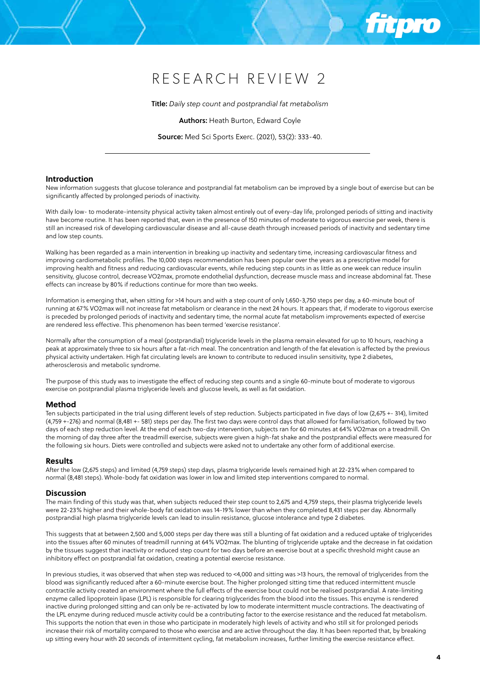Title: *Daily step count and postprandial fat metabolism*

Authors: Heath Burton, Edward Coyle

Source: Med Sci Sports Exerc. (2021), 53(2): 333-40.

## **Introduction**

New information suggests that glucose tolerance and postprandial fat metabolism can be improved by a single bout of exercise but can be significantly affected by prolonged periods of inactivity.

With daily low- to moderate-intensity physical activity taken almost entirely out of every-day life, prolonged periods of sitting and inactivity have become routine. It has been reported that, even in the presence of 150 minutes of moderate to vigorous exercise per week, there is still an increased risk of developing cardiovascular disease and all-cause death through increased periods of inactivity and sedentary time and low step counts.

Walking has been regarded as a main intervention in breaking up inactivity and sedentary time, increasing cardiovascular fitness and improving cardiometabolic profiles. The 10,000 steps recommendation has been popular over the years as a prescriptive model for improving health and fitness and reducing cardiovascular events, while reducing step counts in as little as one week can reduce insulin sensitivity, glucose control, decrease VO2max, promote endothelial dysfunction, decrease muscle mass and increase abdominal fat. These effects can increase by 80% if reductions continue for more than two weeks.

Information is emerging that, when sitting for >14 hours and with a step count of only 1,650-3,750 steps per day, a 60-minute bout of running at 67% VO2max will not increase fat metabolism or clearance in the next 24 hours. It appears that, if moderate to vigorous exercise is preceded by prolonged periods of inactivity and sedentary time, the normal acute fat metabolism improvements expected of exercise are rendered less effective. This phenomenon has been termed 'exercise resistance'.

Normally after the consumption of a meal (postprandial) triglyceride levels in the plasma remain elevated for up to 10 hours, reaching a peak at approximately three to six hours after a fat-rich meal. The concentration and length of the fat elevation is affected by the previous physical activity undertaken. High fat circulating levels are known to contribute to reduced insulin sensitivity, type 2 diabetes, atherosclerosis and metabolic syndrome.

The purpose of this study was to investigate the effect of reducing step counts and a single 60-minute bout of moderate to vigorous exercise on postprandial plasma triglyceride levels and glucose levels, as well as fat oxidation.

# **Method**

Ten subjects participated in the trial using different levels of step reduction. Subjects participated in five days of low (2,675 +- 314), limited (4,759 +-276) and normal (8,481 +- 581) steps per day. The first two days were control days that allowed for familiarisation, followed by two days of each step reduction level. At the end of each two-day intervention, subjects ran for 60 minutes at 64% VO2max on a treadmill. On the morning of day three after the treadmill exercise, subjects were given a high-fat shake and the postprandial effects were measured for the following six hours. Diets were controlled and subjects were asked not to undertake any other form of additional exercise.

#### **Results**

After the low (2,675 steps) and limited (4,759 steps) step days, plasma triglyceride levels remained high at 22-23% when compared to normal (8,481 steps). Whole-body fat oxidation was lower in low and limited step interventions compared to normal.

#### **Discussion**

The main finding of this study was that, when subjects reduced their step count to 2,675 and 4,759 steps, their plasma triglyceride levels were 22-23% higher and their whole-body fat oxidation was 14-19% lower than when they completed 8,431 steps per day. Abnormally postprandial high plasma triglyceride levels can lead to insulin resistance, glucose intolerance and type 2 diabetes.

This suggests that at between 2,500 and 5,000 steps per day there was still a blunting of fat oxidation and a reduced uptake of triglycerides into the tissues after 60 minutes of treadmill running at 64% VO2max. The blunting of triglyceride uptake and the decrease in fat oxidation by the tissues suggest that inactivity or reduced step count for two days before an exercise bout at a specific threshold might cause an inhibitory effect on postprandial fat oxidation, creating a potential exercise resistance.

In previous studies, it was observed that when step was reduced to <4,000 and sitting was >13 hours, the removal of triglycerides from the blood was significantly reduced after a 60-minute exercise bout. The higher prolonged sitting time that reduced intermittent muscle contractile activity created an environment where the full effects of the exercise bout could not be realised postprandial. A rate-limiting enzyme called lipoprotein lipase (LPL) is responsible for clearing triglycerides from the blood into the tissues. This enzyme is rendered inactive during prolonged sitting and can only be re-activated by low to moderate intermittent muscle contractions. The deactivating of the LPL enzyme during reduced muscle activity could be a contributing factor to the exercise resistance and the reduced fat metabolism. This supports the notion that even in those who participate in moderately high levels of activity and who still sit for prolonged periods increase their risk of mortality compared to those who exercise and are active throughout the day. It has been reported that, by breaking up sitting every hour with 20 seconds of intermittent cycling, fat metabolism increases, further limiting the exercise resistance effect.

*FILOTO*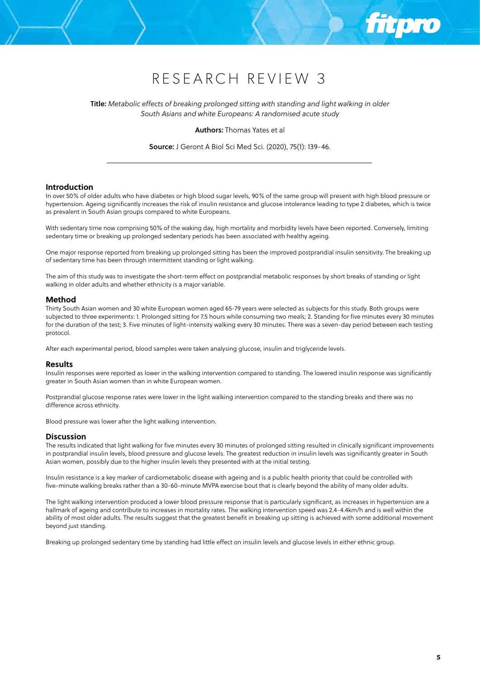Title: *Metabolic effects of breaking prolonged sitting with standing and light walking in older South Asians and white Europeans: A randomised acute study* 

Authors: Thomas Yates et al

Source: J Geront A Biol Sci Med Sci. (2020), 75(1): 139-46.

#### **Introduction**

In over 50% of older adults who have diabetes or high blood sugar levels, 90% of the same group will present with high blood pressure or hypertension. Ageing significantly increases the risk of insulin resistance and glucose intolerance leading to type 2 diabetes, which is twice as prevalent in South Asian groups compared to white Europeans.

With sedentary time now comprising 50% of the waking day, high mortality and morbidity levels have been reported. Conversely, limiting sedentary time or breaking up prolonged sedentary periods has been associated with healthy ageing.

One major response reported from breaking up prolonged sitting has been the improved postprandial insulin sensitivity. The breaking up of sedentary time has been through intermittent standing or light walking.

The aim of this study was to investigate the short-term effect on postprandial metabolic responses by short breaks of standing or light walking in older adults and whether ethnicity is a major variable.

# **Method**

Thirty South Asian women and 30 white European women aged 65-79 years were selected as subjects for this study. Both groups were subjected to three experiments: 1. Prolonged sitting for 7.5 hours while consuming two meals; 2. Standing for five minutes every 30 minutes for the duration of the test; 3. Five minutes of light-intensity walking every 30 minutes. There was a seven-day period between each testing protocol.

After each experimental period, blood samples were taken analysing glucose, insulin and triglyceride levels.

## **Results**

Insulin responses were reported as lower in the walking intervention compared to standing. The lowered insulin response was significantly greater in South Asian women than in white European women.

Postprandial glucose response rates were lower in the light walking intervention compared to the standing breaks and there was no difference across ethnicity.

Blood pressure was lower after the light walking intervention.

# **Discussion**

The results indicated that light walking for five minutes every 30 minutes of prolonged sitting resulted in clinically significant improvements in postprandial insulin levels, blood pressure and glucose levels. The greatest reduction in insulin levels was significantly greater in South Asian women, possibly due to the higher insulin levels they presented with at the initial testing.

Insulin resistance is a key marker of cardiometabolic disease with ageing and is a public health priority that could be controlled with five-minute walking breaks rather than a 30-60-minute MVPA exercise bout that is clearly beyond the ability of many older adults.

The light walking intervention produced a lower blood pressure response that is particularly significant, as increases in hypertension are a hallmark of ageing and contribute to increases in mortality rates. The walking intervention speed was 2.4-4.4km/h and is well within the ability of most older adults. The results suggest that the greatest benefit in breaking up sitting is achieved with some additional movement beyond just standing.

Breaking up prolonged sedentary time by standing had little effect on insulin levels and glucose levels in either ethnic group.

ñ Ioro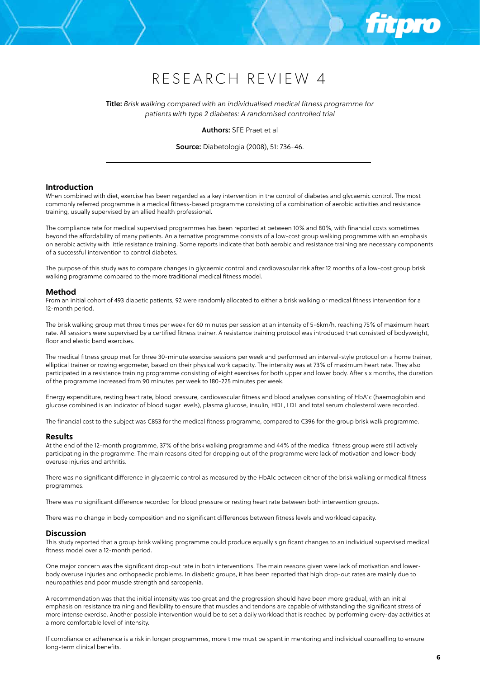Title: *Brisk walking compared with an individualised medical fitness programme for patients with type 2 diabetes: A randomised controlled trial*

Authors: SFE Praet et al

Source: Diabetologia (2008), 51: 736-46.

#### **Introduction**

When combined with diet, exercise has been regarded as a key intervention in the control of diabetes and glycaemic control. The most commonly referred programme is a medical fitness-based programme consisting of a combination of aerobic activities and resistance training, usually supervised by an allied health professional.

The compliance rate for medical supervised programmes has been reported at between 10% and 80%, with financial costs sometimes beyond the affordability of many patients. An alternative programme consists of a low-cost group walking programme with an emphasis on aerobic activity with little resistance training. Some reports indicate that both aerobic and resistance training are necessary components of a successful intervention to control diabetes.

The purpose of this study was to compare changes in glycaemic control and cardiovascular risk after 12 months of a low-cost group brisk walking programme compared to the more traditional medical fitness model.

#### **Method**

From an initial cohort of 493 diabetic patients, 92 were randomly allocated to either a brisk walking or medical fitness intervention for a 12-month period.

The brisk walking group met three times per week for 60 minutes per session at an intensity of 5-6km/h, reaching 75% of maximum heart rate. All sessions were supervised by a certified fitness trainer. A resistance training protocol was introduced that consisted of bodyweight, floor and elastic band exercises.

The medical fitness group met for three 30-minute exercise sessions per week and performed an interval-style protocol on a home trainer, elliptical trainer or rowing ergometer, based on their physical work capacity. The intensity was at 73% of maximum heart rate. They also participated in a resistance training programme consisting of eight exercises for both upper and lower body. After six months, the duration of the programme increased from 90 minutes per week to 180-225 minutes per week.

Energy expenditure, resting heart rate, blood pressure, cardiovascular fitness and blood analyses consisting of HbA1c (haemoglobin and glucose combined is an indicator of blood sugar levels), plasma glucose, insulin, HDL, LDL and total serum cholesterol were recorded.

The financial cost to the subject was €853 for the medical fitness programme, compared to €396 for the group brisk walk programme.

## **Results**

At the end of the 12-month programme, 37% of the brisk walking programme and 44% of the medical fitness group were still actively participating in the programme. The main reasons cited for dropping out of the programme were lack of motivation and lower-body overuse injuries and arthritis.

There was no significant difference in glycaemic control as measured by the HbA1c between either of the brisk walking or medical fitness programmes.

There was no significant difference recorded for blood pressure or resting heart rate between both intervention groups.

There was no change in body composition and no significant differences between fitness levels and workload capacity.

#### **Discussion**

This study reported that a group brisk walking programme could produce equally significant changes to an individual supervised medical fitness model over a 12-month period.

One major concern was the significant drop-out rate in both interventions. The main reasons given were lack of motivation and lowerbody overuse injuries and orthopaedic problems. In diabetic groups, it has been reported that high drop-out rates are mainly due to neuropathies and poor muscle strength and sarcopenia.

A recommendation was that the initial intensity was too great and the progression should have been more gradual, with an initial emphasis on resistance training and flexibility to ensure that muscles and tendons are capable of withstanding the significant stress of more intense exercise. Another possible intervention would be to set a daily workload that is reached by performing every-day activities at a more comfortable level of intensity.

If compliance or adherence is a risk in longer programmes, more time must be spent in mentoring and individual counselling to ensure long-term clinical benefits.

**filoro**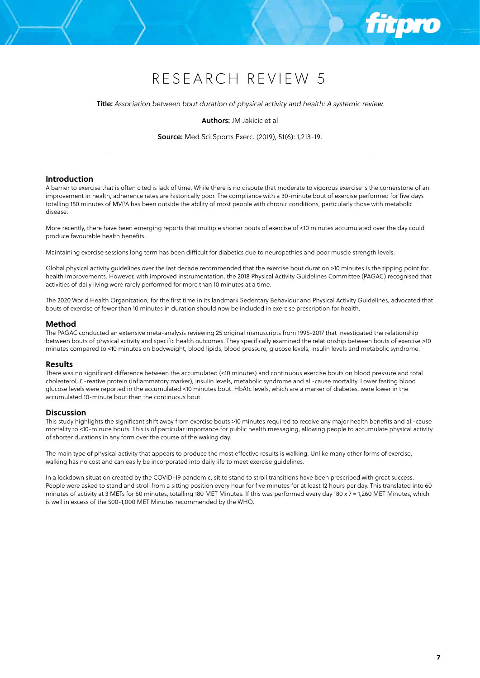Title: *Association between bout duration of physical activity and health: A systemic review*

Authors: JM Jakicic et al

Source: Med Sci Sports Exerc. (2019), 51(6): 1,213-19.

# **Introduction**

A barrier to exercise that is often cited is lack of time. While there is no dispute that moderate to vigorous exercise is the cornerstone of an improvement in health, adherence rates are historically poor. The compliance with a 30-minute bout of exercise performed for five days totalling 150 minutes of MVPA has been outside the ability of most people with chronic conditions, particularly those with metabolic disease.

More recently, there have been emerging reports that multiple shorter bouts of exercise of <10 minutes accumulated over the day could produce favourable health benefits.

Maintaining exercise sessions long term has been difficult for diabetics due to neuropathies and poor muscle strength levels.

Global physical activity guidelines over the last decade recommended that the exercise bout duration >10 minutes is the tipping point for health improvements. However, with improved instrumentation, the 2018 Physical Activity Guidelines Committee (PAGAC) recognised that activities of daily living were rarely performed for more than 10 minutes at a time.

The 2020 World Health Organization, for the first time in its landmark Sedentary Behaviour and Physical Activity Guidelines, advocated that bouts of exercise of fewer than 10 minutes in duration should now be included in exercise prescription for health.

## **Method**

The PAGAC conducted an extensive meta-analysis reviewing 25 original manuscripts from 1995-2017 that investigated the relationship between bouts of physical activity and specific health outcomes. They specifically examined the relationship between bouts of exercise >10 minutes compared to <10 minutes on bodyweight, blood lipids, blood pressure, glucose levels, insulin levels and metabolic syndrome.

## **Results**

There was no significant difference between the accumulated (<10 minutes) and continuous exercise bouts on blood pressure and total cholesterol, C-reative protein (inflammatory marker), insulin levels, metabolic syndrome and all-cause mortality. Lower fasting blood glucose levels were reported in the accumulated <10 minutes bout. HbA1c levels, which are a marker of diabetes, were lower in the accumulated 10-minute bout than the continuous bout.

#### **Discussion**

This study highlights the significant shift away from exercise bouts >10 minutes required to receive any major health benefits and all-cause mortality to <10-minute bouts. This is of particular importance for public health messaging, allowing people to accumulate physical activity of shorter durations in any form over the course of the waking day.

The main type of physical activity that appears to produce the most effective results is walking. Unlike many other forms of exercise, walking has no cost and can easily be incorporated into daily life to meet exercise guidelines.

In a lockdown situation created by the COVID-19 pandemic, sit to stand to stroll transitions have been prescribed with great success. People were asked to stand and stroll from a sitting position every hour for five minutes for at least 12 hours per day. This translated into 60 minutes of activity at 3 METs for 60 minutes, totalling 180 MET Minutes. If this was performed every day 180 x 7 = 1,260 MET Minutes, which is well in excess of the 500-1,000 MET Minutes recommended by the WHO.

**Ttpro**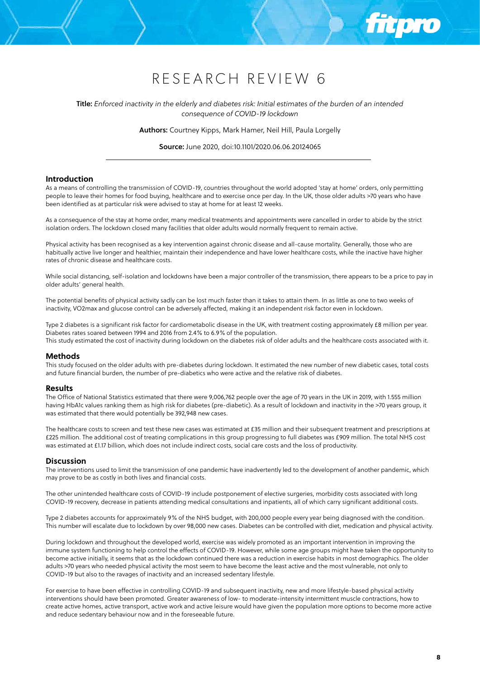Title: *Enforced inactivity in the elderly and diabetes risk: Initial estimates of the burden of an intended consequence of COVID-19 lockdown*

Authors: Courtney Kipps, Mark Hamer, Neil Hill, Paula Lorgelly

Source: June 2020, doi:10.1101/2020.06.06.20124065

# **Introduction**

As a means of controlling the transmission of COVID-19, countries throughout the world adopted 'stay at home' orders, only permitting people to leave their homes for food buying, healthcare and to exercise once per day. In the UK, those older adults >70 years who have been identified as at particular risk were advised to stay at home for at least 12 weeks.

As a consequence of the stay at home order, many medical treatments and appointments were cancelled in order to abide by the strict isolation orders. The lockdown closed many facilities that older adults would normally frequent to remain active.

Physical activity has been recognised as a key intervention against chronic disease and all-cause mortality. Generally, those who are habitually active live longer and healthier, maintain their independence and have lower healthcare costs, while the inactive have higher rates of chronic disease and healthcare costs.

While social distancing, self-isolation and lockdowns have been a major controller of the transmission, there appears to be a price to pay in older adults' general health.

The potential benefits of physical activity sadly can be lost much faster than it takes to attain them. In as little as one to two weeks of inactivity, VO2max and glucose control can be adversely affected, making it an independent risk factor even in lockdown.

Type 2 diabetes is a significant risk factor for cardiometabolic disease in the UK, with treatment costing approximately £8 million per year. Diabetes rates soared between 1994 and 2016 from 2.4% to 6.9% of the population. This study estimated the cost of inactivity during lockdown on the diabetes risk of older adults and the healthcare costs associated with it.

#### **Methods**

This study focused on the older adults with pre-diabetes during lockdown. It estimated the new number of new diabetic cases, total costs and future financial burden, the number of pre-diabetics who were active and the relative risk of diabetes.

#### **Results**

The Office of National Statistics estimated that there were 9,006,762 people over the age of 70 years in the UK in 2019, with 1.555 million having HbA1c values ranking them as high risk for diabetes (pre-diabetic). As a result of lockdown and inactivity in the >70 years group, it was estimated that there would potentially be 392,948 new cases.

The healthcare costs to screen and test these new cases was estimated at £35 million and their subsequent treatment and prescriptions at £225 million. The additional cost of treating complications in this group progressing to full diabetes was £909 million. The total NHS cost was estimated at £1.17 billion, which does not include indirect costs, social care costs and the loss of productivity.

#### **Discussion**

The interventions used to limit the transmission of one pandemic have inadvertently led to the development of another pandemic, which may prove to be as costly in both lives and financial costs.

The other unintended healthcare costs of COVID-19 include postponement of elective surgeries, morbidity costs associated with long COVID-19 recovery, decrease in patients attending medical consultations and inpatients, all of which carry significant additional costs.

Type 2 diabetes accounts for approximately 9% of the NHS budget, with 200,000 people every year being diagnosed with the condition. This number will escalate due to lockdown by over 98,000 new cases. Diabetes can be controlled with diet, medication and physical activity.

During lockdown and throughout the developed world, exercise was widely promoted as an important intervention in improving the immune system functioning to help control the effects of COVID-19. However, while some age groups might have taken the opportunity to become active initially, it seems that as the lockdown continued there was a reduction in exercise habits in most demographics. The older adults >70 years who needed physical activity the most seem to have become the least active and the most vulnerable, not only to COVID-19 but also to the ravages of inactivity and an increased sedentary lifestyle.

For exercise to have been effective in controlling COVID-19 and subsequent inactivity, new and more lifestyle-based physical activity interventions should have been promoted. Greater awareness of low- to moderate-intensity intermittent muscle contractions, how to create active homes, active transport, active work and active leisure would have given the population more options to become more active and reduce sedentary behaviour now and in the foreseeable future.

**fit pro**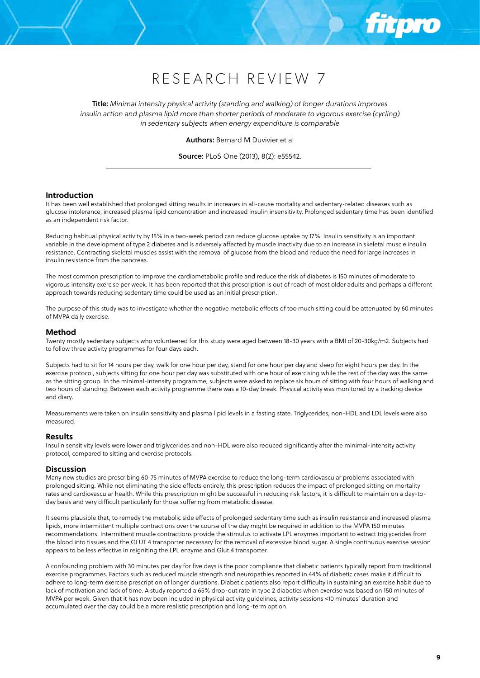

Title: *Minimal intensity physical activity (standing and walking) of longer durations improves insulin action and plasma lipid more than shorter periods of moderate to vigorous exercise (cycling) in sedentary subjects when energy expenditure is comparable*

Authors: Bernard M Duvivier et al

Source: PLoS One (2013), 8(2): e55542.

# **Introduction**

It has been well established that prolonged sitting results in increases in all-cause mortality and sedentary-related diseases such as glucose intolerance, increased plasma lipid concentration and increased insulin insensitivity. Prolonged sedentary time has been identified as an independent risk factor.

Reducing habitual physical activity by 15% in a two-week period can reduce glucose uptake by 17%. Insulin sensitivity is an important variable in the development of type 2 diabetes and is adversely affected by muscle inactivity due to an increase in skeletal muscle insulin resistance. Contracting skeletal muscles assist with the removal of glucose from the blood and reduce the need for large increases in insulin resistance from the pancreas.

The most common prescription to improve the cardiometabolic profile and reduce the risk of diabetes is 150 minutes of moderate to vigorous intensity exercise per week. It has been reported that this prescription is out of reach of most older adults and perhaps a different approach towards reducing sedentary time could be used as an initial prescription.

The purpose of this study was to investigate whether the negative metabolic effects of too much sitting could be attenuated by 60 minutes of MVPA daily exercise.

# **Method**

Twenty mostly sedentary subjects who volunteered for this study were aged between 18-30 years with a BMI of 20-30kg/m2. Subjects had to follow three activity programmes for four days each.

Subjects had to sit for 14 hours per day, walk for one hour per day, stand for one hour per day and sleep for eight hours per day. In the exercise protocol, subjects sitting for one hour per day was substituted with one hour of exercising while the rest of the day was the same as the sitting group. In the minimal-intensity programme, subjects were asked to replace six hours of sitting with four hours of walking and two hours of standing. Between each activity programme there was a 10-day break. Physical activity was monitored by a tracking device and diary.

Measurements were taken on insulin sensitivity and plasma lipid levels in a fasting state. Triglycerides, non-HDL and LDL levels were also measured.

# **Results**

Insulin sensitivity levels were lower and triglycerides and non-HDL were also reduced significantly after the minimal-intensity activity protocol, compared to sitting and exercise protocols.

# **Discussion**

Many new studies are prescribing 60-75 minutes of MVPA exercise to reduce the long-term cardiovascular problems associated with prolonged sitting. While not eliminating the side effects entirely, this prescription reduces the impact of prolonged sitting on mortality rates and cardiovascular health. While this prescription might be successful in reducing risk factors, it is difficult to maintain on a day-today basis and very difficult particularly for those suffering from metabolic disease.

It seems plausible that, to remedy the metabolic side effects of prolonged sedentary time such as insulin resistance and increased plasma lipids, more intermittent multiple contractions over the course of the day might be required in addition to the MVPA 150 minutes recommendations. Intermittent muscle contractions provide the stimulus to activate LPL enzymes important to extract triglycerides from the blood into tissues and the GLUT 4 transporter necessary for the removal of excessive blood sugar. A single continuous exercise session appears to be less effective in reigniting the LPL enzyme and Glut 4 transporter.

A confounding problem with 30 minutes per day for five days is the poor compliance that diabetic patients typically report from traditional exercise programmes. Factors such as reduced muscle strength and neuropathies reported in 44% of diabetic cases make it difficult to adhere to long-term exercise prescription of longer durations. Diabetic patients also report difficulty in sustaining an exercise habit due to lack of motivation and lack of time. A study reported a 65% drop-out rate in type 2 diabetics when exercise was based on 150 minutes of MVPA per week. Given that it has now been included in physical activity guidelines, activity sessions <10 minutes' duration and accumulated over the day could be a more realistic prescription and long-term option.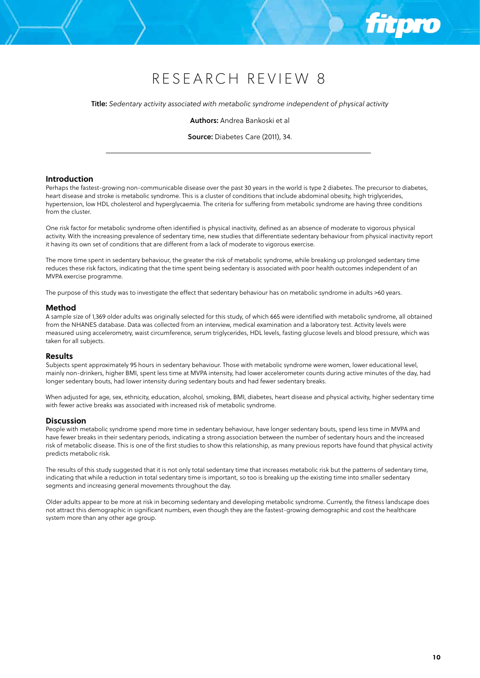Title: *Sedentary activity associated with metabolic syndrome independent of physical activity*

Authors: Andrea Bankoski et al

Source: Diabetes Care (2011), 34.

# **Introduction**

Perhaps the fastest-growing non-communicable disease over the past 30 years in the world is type 2 diabetes. The precursor to diabetes, heart disease and stroke is metabolic syndrome. This is a cluster of conditions that include abdominal obesity, high triglycerides, hypertension, low HDL cholesterol and hyperglycaemia. The criteria for suffering from metabolic syndrome are having three conditions from the cluster.

One risk factor for metabolic syndrome often identified is physical inactivity, defined as an absence of moderate to vigorous physical activity. With the increasing prevalence of sedentary time, new studies that differentiate sedentary behaviour from physical inactivity report it having its own set of conditions that are different from a lack of moderate to vigorous exercise.

The more time spent in sedentary behaviour, the greater the risk of metabolic syndrome, while breaking up prolonged sedentary time reduces these risk factors, indicating that the time spent being sedentary is associated with poor health outcomes independent of an MVPA exercise programme.

The purpose of this study was to investigate the effect that sedentary behaviour has on metabolic syndrome in adults >60 years.

## **Method**

A sample size of 1,369 older adults was originally selected for this study, of which 665 were identified with metabolic syndrome, all obtained from the NHANES database. Data was collected from an interview, medical examination and a laboratory test. Activity levels were measured using accelerometry, waist circumference, serum triglycerides, HDL levels, fasting glucose levels and blood pressure, which was taken for all subjects.

## **Results**

Subjects spent approximately 95 hours in sedentary behaviour. Those with metabolic syndrome were women, lower educational level, mainly non-drinkers, higher BMI, spent less time at MVPA intensity, had lower accelerometer counts during active minutes of the day, had longer sedentary bouts, had lower intensity during sedentary bouts and had fewer sedentary breaks.

When adjusted for age, sex, ethnicity, education, alcohol, smoking, BMI, diabetes, heart disease and physical activity, higher sedentary time with fewer active breaks was associated with increased risk of metabolic syndrome.

#### **Discussion**

People with metabolic syndrome spend more time in sedentary behaviour, have longer sedentary bouts, spend less time in MVPA and have fewer breaks in their sedentary periods, indicating a strong association between the number of sedentary hours and the increased risk of metabolic disease. This is one of the first studies to show this relationship, as many previous reports have found that physical activity predicts metabolic risk.

The results of this study suggested that it is not only total sedentary time that increases metabolic risk but the patterns of sedentary time, indicating that while a reduction in total sedentary time is important, so too is breaking up the existing time into smaller sedentary segments and increasing general movements throughout the day.

Older adults appear to be more at risk in becoming sedentary and developing metabolic syndrome. Currently, the fitness landscape does not attract this demographic in significant numbers, even though they are the fastest-growing demographic and cost the healthcare system more than any other age group.

ñ i Dro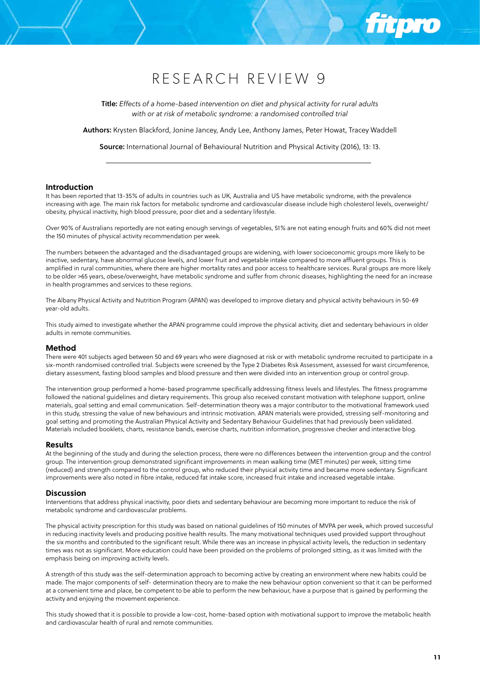Title: *Effects of a home-based intervention on diet and physical activity for rural adults with or at risk of metabolic syndrome: a randomised controlled trial* 

Authors: Krysten Blackford, Jonine Jancey, Andy Lee, Anthony James, Peter Howat, Tracey Waddell

Source: International Journal of Behavioural Nutrition and Physical Activity (2016), 13: 13.

#### **Introduction**

It has been reported that 13-35% of adults in countries such as UK, Australia and US have metabolic syndrome, with the prevalence increasing with age. The main risk factors for metabolic syndrome and cardiovascular disease include high cholesterol levels, overweight/ obesity, physical inactivity, high blood pressure, poor diet and a sedentary lifestyle.

Over 90% of Australians reportedly are not eating enough servings of vegetables, 51% are not eating enough fruits and 60% did not meet the 150 minutes of physical activity recommendation per week.

The numbers between the advantaged and the disadvantaged groups are widening, with lower socioeconomic groups more likely to be inactive, sedentary, have abnormal glucose levels, and lower fruit and vegetable intake compared to more affluent groups. This is amplified in rural communities, where there are higher mortality rates and poor access to healthcare services. Rural groups are more likely to be older >65 years, obese/overweight, have metabolic syndrome and suffer from chronic diseases, highlighting the need for an increase in health programmes and services to these regions.

The Albany Physical Activity and Nutrition Program (APAN) was developed to improve dietary and physical activity behaviours in 50-69 year-old adults.

This study aimed to investigate whether the APAN programme could improve the physical activity, diet and sedentary behaviours in older adults in remote communities.

## **Method**

There were 401 subjects aged between 50 and 69 years who were diagnosed at risk or with metabolic syndrome recruited to participate in a six-month randomised controlled trial. Subjects were screened by the Type 2 Diabetes Risk Assessment, assessed for waist circumference, dietary assessment, fasting blood samples and blood pressure and then were divided into an intervention group or control group.

The intervention group performed a home-based programme specifically addressing fitness levels and lifestyles. The fitness programme followed the national guidelines and dietary requirements. This group also received constant motivation with telephone support, online materials, goal setting and email communication. Self-determination theory was a major contributor to the motivational framework used in this study, stressing the value of new behaviours and intrinsic motivation. APAN materials were provided, stressing self-monitoring and goal setting and promoting the Australian Physical Activity and Sedentary Behaviour Guidelines that had previously been validated. Materials included booklets, charts, resistance bands, exercise charts, nutrition information, progressive checker and interactive blog.

#### **Results**

At the beginning of the study and during the selection process, there were no differences between the intervention group and the control group. The intervention group demonstrated significant improvements in mean walking time (MET minutes) per week, sitting time (reduced) and strength compared to the control group, who reduced their physical activity time and became more sedentary. Significant improvements were also noted in fibre intake, reduced fat intake score, increased fruit intake and increased vegetable intake.

#### **Discussion**

Interventions that address physical inactivity, poor diets and sedentary behaviour are becoming more important to reduce the risk of metabolic syndrome and cardiovascular problems.

The physical activity prescription for this study was based on national guidelines of 150 minutes of MVPA per week, which proved successful in reducing inactivity levels and producing positive health results. The many motivational techniques used provided support throughout the six months and contributed to the significant result. While there was an increase in physical activity levels, the reduction in sedentary times was not as significant. More education could have been provided on the problems of prolonged sitting, as it was limited with the emphasis being on improving activity levels.

A strength of this study was the self-determination approach to becoming active by creating an environment where new habits could be made. The major components of self- determination theory are to make the new behaviour option convenient so that it can be performed at a convenient time and place, be competent to be able to perform the new behaviour, have a purpose that is gained by performing the activity and enjoying the movement experience.

This study showed that it is possible to provide a low-cost, home-based option with motivational support to improve the metabolic health and cardiovascular health of rural and remote communities.

**Ttpro**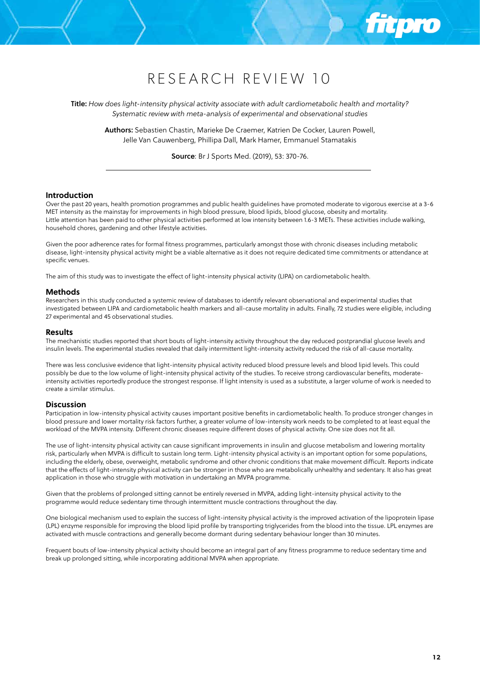Title: *How does light-intensity physical activity associate with adult cardiometabolic health and mortality? Systematic review with meta-analysis of experimental and observational studies*

Authors: Sebastien Chastin, Marieke De Craemer, Katrien De Cocker, Lauren Powell, Jelle Van Cauwenberg, Phillipa Dall, Mark Hamer, Emmanuel Stamatakis

Source: Br J Sports Med. (2019), 53: 370-76.

## **Introduction**

Over the past 20 years, health promotion programmes and public health guidelines have promoted moderate to vigorous exercise at a 3-6 MET intensity as the mainstay for improvements in high blood pressure, blood lipids, blood glucose, obesity and mortality. Little attention has been paid to other physical activities performed at low intensity between 1.6-3 METs. These activities include walking, household chores, gardening and other lifestyle activities.

Given the poor adherence rates for formal fitness programmes, particularly amongst those with chronic diseases including metabolic disease, light-intensity physical activity might be a viable alternative as it does not require dedicated time commitments or attendance at specific venues.

The aim of this study was to investigate the effect of light-intensity physical activity (LIPA) on cardiometabolic health.

## **Methods**

Researchers in this study conducted a systemic review of databases to identify relevant observational and experimental studies that investigated between LIPA and cardiometabolic health markers and all-cause mortality in adults. Finally, 72 studies were eligible, including 27 experimental and 45 observational studies.

#### **Results**

The mechanistic studies reported that short bouts of light-intensity activity throughout the day reduced postprandial glucose levels and insulin levels. The experimental studies revealed that daily intermittent light-intensity activity reduced the risk of all-cause mortality.

There was less conclusive evidence that light-intensity physical activity reduced blood pressure levels and blood lipid levels. This could possibly be due to the low volume of light-intensity physical activity of the studies. To receive strong cardiovascular benefits, moderateintensity activities reportedly produce the strongest response. If light intensity is used as a substitute, a larger volume of work is needed to create a similar stimulus.

# **Discussion**

Participation in low-intensity physical activity causes important positive benefits in cardiometabolic health. To produce stronger changes in blood pressure and lower mortality risk factors further, a greater volume of low-intensity work needs to be completed to at least equal the workload of the MVPA intensity. Different chronic diseases require different doses of physical activity. One size does not fit all.

The use of light-intensity physical activity can cause significant improvements in insulin and glucose metabolism and lowering mortality risk, particularly when MVPA is difficult to sustain long term. Light-intensity physical activity is an important option for some populations, including the elderly, obese, overweight, metabolic syndrome and other chronic conditions that make movement difficult. Reports indicate that the effects of light-intensity physical activity can be stronger in those who are metabolically unhealthy and sedentary. It also has great application in those who struggle with motivation in undertaking an MVPA programme.

Given that the problems of prolonged sitting cannot be entirely reversed in MVPA, adding light-intensity physical activity to the programme would reduce sedentary time through intermittent muscle contractions throughout the day.

One biological mechanism used to explain the success of light-intensity physical activity is the improved activation of the lipoprotein lipase (LPL) enzyme responsible for improving the blood lipid profile by transporting triglycerides from the blood into the tissue. LPL enzymes are activated with muscle contractions and generally become dormant during sedentary behaviour longer than 30 minutes.

Frequent bouts of low-intensity physical activity should become an integral part of any fitness programme to reduce sedentary time and break up prolonged sitting, while incorporating additional MVPA when appropriate.

ñ i DTO